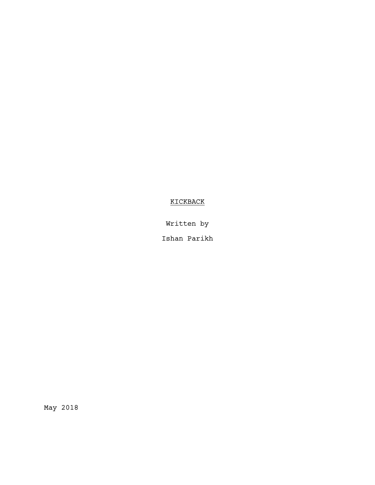# KICKBACK

Written by

Ishan Parikh

May 2018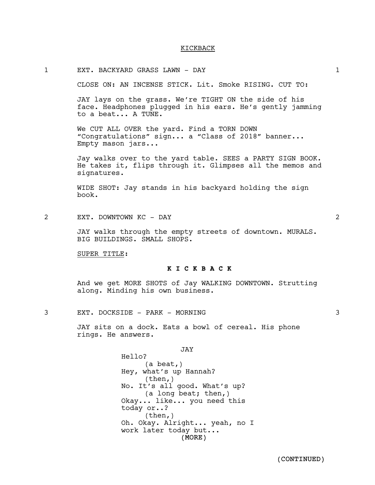#### KICKBACK

#### 1 EXT. BACKYARD GRASS LAWN - DAY 1

CLOSE ON: AN INCENSE STICK. Lit. Smoke RISING. CUT TO:

JAY lays on the grass. We're TIGHT ON the side of his face. Headphones plugged in his ears. He's gently jamming to a beat... A TUNE.

We CUT ALL OVER the yard. Find a TORN DOWN "Congratulations" sign... a "Class of 2018" banner... Empty mason jars...

Jay walks over to the yard table. SEES a PARTY SIGN BOOK. He takes it, flips through it. Glimpses all the memos and signatures.

WIDE SHOT: Jay stands in his backyard holding the sign book.

2 EXT. DOWNTOWN KC - DAY 2

JAY walks through the empty streets of downtown. MURALS. BIG BUILDINGS. SMALL SHOPS.

SUPER TITLE:

### **K I C K B A C K**

And we get MORE SHOTS of Jay WALKING DOWNTOWN. Strutting along. Minding his own business.

3 EXT. DOCKSIDE - PARK - MORNING 3

JAY sits on a dock. Eats a bowl of cereal. His phone rings. He answers.

> (MORE) JAY Hello? (a beat,) Hey, what's up Hannah? (then,) No. It's all good. What's up? (a long beat; then,) Okay... like... you need this today or..? (then,) Oh. Okay. Alright... yeah, no I work later today but...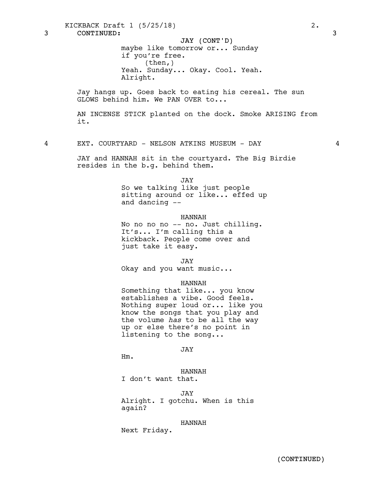KICKBACK Draft 1 (5/25/18) 2.

3 CONTINUED: 3

# JAY (CONT'D)

maybe like tomorrow or... Sunday if you're free. (then,) Yeah. Sunday... Okay. Cool. Yeah. Alright.

Jay hangs up. Goes back to eating his cereal. The sun GLOWS behind him. We PAN OVER to...

AN INCENSE STICK planted on the dock. Smoke ARISING from it.

4 EXT. COURTYARD - NELSON ATKINS MUSEUM - DAY 4

JAY and HANNAH sit in the courtyard. The Big Birdie resides in the b.g. behind them.

JAY

So we talking like just people sitting around or like... effed up and dancing --

### HANNAH

No no no no -- no. Just chilling. It's... I'm calling this a kickback. People come over and just take it easy.

JAY

Okay and you want music...

### HANNAH

Something that like... you know<br>establishes a vibe. Good feels. Nothing super loud or... like you know the songs that you play and the volume *has* to be all the way up or else there's no point in listening to the song...

JAY

Hm.

HANNAH I don't want that.

JAY Alright. I gotchu. When is this again?

### HANNAH

Next Friday.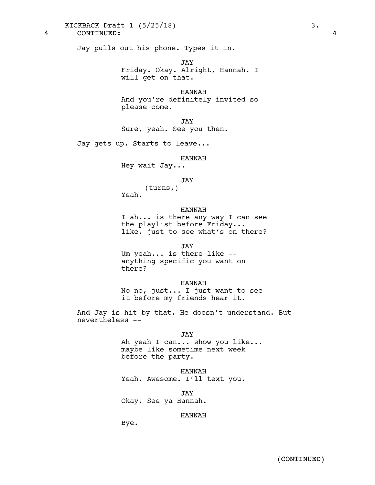KICKBACK Draft 1 (5/25/18) 3.

4 CONTINUED: 4

Jay pulls out his phone. Types it in.

JAY Friday. Okay. Alright, Hannah. I will get on that.

HANNAH And you're definitely invited so please come.

JAY Sure, yeah. See you then.

Jay gets up. Starts to leave...

#### HANNAH

Hey wait Jay...

JAY

(turns,)

Yeah.

### HANNAH

I ah... is there any way I can see the playlist before Friday... like, just to see what's on there?

JAY

Um yeah... is there like --<br>anything specific you want on there?

HANNAH

No-no, just... I just want to see it before my friends hear it.

And Jay is hit by that. He doesn't understand. But nevertheless --

JAY

Ah yeah <sup>I</sup> can... show you like... maybe like sometime next week before the party.

HANNAH Yeah. Awesome. I'll text you.

JAY Okay. See ya Hannah.

#### HANNAH

Bye.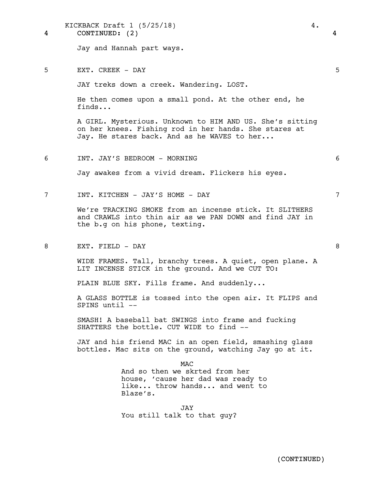| KICKBACK Draft $1$ (5/25/18) |  |  |  |
|------------------------------|--|--|--|
|------------------------------|--|--|--|

4 CONTINUED: (2) 4

Jay and Hannah part ways.

5 EXT. CREEK - DAY 5

JAY treks down a creek. Wandering. LOST.

He then comes upon a small pond. At the other end, he finds...

A GIRL. Mysterious. Unknown to HIM AND US. She's sitting on her knees. Fishing rod in her hands. She stares at Jay. He stares back. And as he WAVES to her...

6 INT. JAY'S BEDROOM - MORNING 6

Jay awakes from a vivid dream. Flickers his eyes.

7 INT. KITCHEN - JAY'S HOME - DAY 7

We're TRACKING SMOKE from an incense stick. It SLITHERS and CRAWLS into thin air as we PAN DOWN and find JAY in the b.g on his phone, texting.

8 EXT. FIELD – DAY 8

WIDE FRAMES. Tall, branchy trees. A quiet, open plane. A LIT INCENSE STICK in the ground. And we CUT TO:

PLAIN BLUE SKY. Fills frame. And suddenly...

A GLASS BOTTLE is tossed into the open air. It FLIPS and SPINS until --

SMASH! A baseball bat SWINGS into frame and fucking SHATTERS the bottle. CUT WIDE to find --

JAY and his friend MAC in an open field, smashing glass bottles. Mac sits on the ground, watching Jay go at it.

**MAC** 

And so then we skrted from her house, 'cause her dad was ready to like... throw hands... and went to Blaze's.

JAY You still talk to that guy?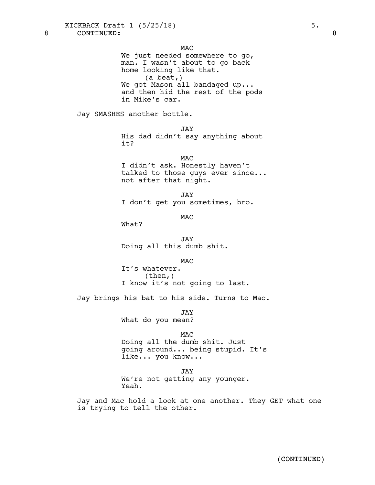8 CONTINUED: 8

**MAC** 

We just needed somewhere to go, man. I wasn't about to go back home looking like that. (a beat,) We got Mason all bandaged up... and then hid the rest of the pods in Mike's car.

Jay SMASHES another bottle.

JAY

His dad didn't say anything about it?

**MAC** I didn't ask. Honestly haven't talked to those guys ever since... not after that night.

JAY I don't get you sometimes, bro.

M<sub>AC</sub>

What?

JAY Doing all this dumb shit.

MAC

It's whatever.<br>(then,) I know it's not going to last.

Jay brings his bat to his side. Turns to Mac.

JAY What do you mean?

MAC

Doing all the dumb shit. Just going around... being stupid. It's like... you know...

JAY

We're not getting any younger. Yeah.

Jay and Mac hold a look at one another. They GET what one is trying to tell the other.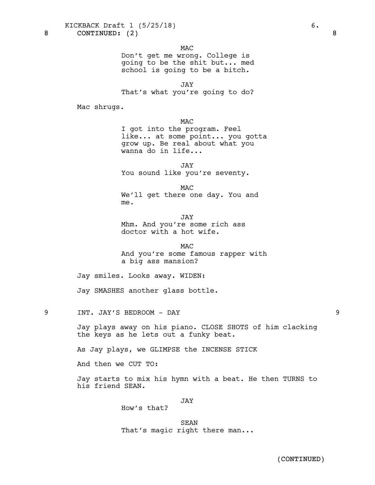KICKBACK Draft 1 (5/25/18) 6.

8 CONTINUED: (2) 8

**MAC** 

Don't get me wrong. College is going to be the shit but... med school is going to be a bitch.

JAY That's what you're going to do?

Mac shrugs.

**MAC** 

I got into the program. Feel like... at some point... you gotta grow up. Be real about what you wanna do in life...

JAY You sound like you're seventy.

MAC

We'll get there one day. You and me.

JAY Mhm. And you're some rich ass doctor with a hot wife.

**MAC** And you're some famous rapper with a big ass mansion?

Jay smiles. Looks away. WIDEN:

Jay SMASHES another glass bottle.

9 INT. JAY'S BEDROOM - DAY 9

Jay plays away on his piano. CLOSE SHOTS of him clacking the keys as he lets out a funky beat.

As Jay plays, we GLIMPSE the INCENSE STICK

And then we CUT TO:

Jay starts to mix his hymn with a beat. He then TURNS to his friend SEAN.

JAY

How's that?

SEAN That's magic right there man...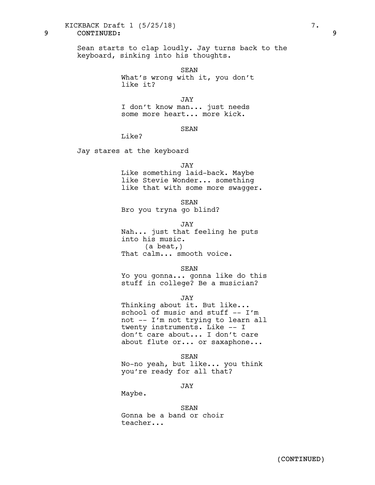# KICKBACK Draft 1 (5/25/18) 7.

9 CONTINUED: 9

Sean starts to clap loudly. Jay turns back to the keyboard, sinking into his thoughts.

> SEAN What's wrong with it, you don't like it?

JAY I don't know man... just needs some more heart... more kick.

# SEAN

 $Like?$ 

Jay stares at the keyboard

#### JAY

Like something laid-back. Maybe like Stevie Wonder... something like that with some more swagger.

SEAN

Bro you tryna go blind?

JAY

Nah... just that feeling he puts into his music. (a beat,) That calm... smooth voice.

#### SEAN

Yo you gonna... gonna like do this stuff in college? Be a musician?

JAY

Thinking about it. But like...<br>school of music and stuff -- I'm not -- I'm not trying to learn all twenty instruments. Like -- I don't care about... I don't care about flute or... or saxaphone...

SEAN

No-no yeah, but like... you think you're ready for all that?

JAY

Maybe.

# SEAN

Gonna be a band or choir teacher...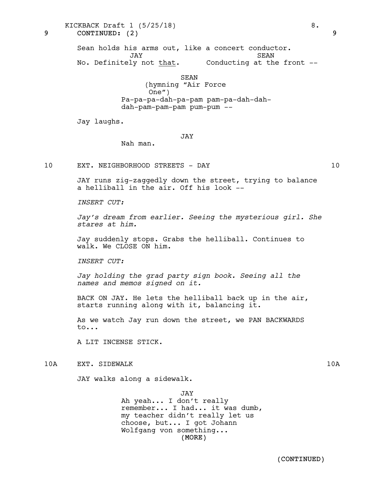KICKBACK Draft  $1 \left(5/25/18\right)$  8.

9 CONTINUED: (2) 9

Sean holds his arms out, like a concert conductor. JAY No. Definitely not that. SEAN Conducting at the front --

> SEAN (hymning "Air Force One") Pa-pa-pa-dah-pa-pam pam-pa-dah-dahdah-pam-pam-pam pum-pum --

Jay laughs.

# JAY

Nah man.

10 EXT. NEIGHBORHOOD STREETS - DAY 10

JAY runs zig-zaggedly down the street, trying to balance a helliball in the air. Off his look --

*INSERT CUT:*

*Jay's dream from earlier. Seeing the mysterious girl. She stares at him.*

Jay suddenly stops. Grabs the helliball. Continues to walk. We CLOSE ON him.

*INSERT CUT:*

*Jay holding the grad party sign book. Seeing all the names and memos signed on it.*

BACK ON JAY. He lets the helliball back up in the air, starts running along with it, balancing it.

As we watch Jay run down the street, we PAN BACKWARDS to...

A LIT INCENSE STICK.

10A EXT. SIDEWALK 10A 10A

JAY walks along a sidewalk.

(MORE) JAY Ah yeah... I don't really remember... I had... it was dumb, my teacher didn't really let us choose, but... I got Johann Wolfgang von something...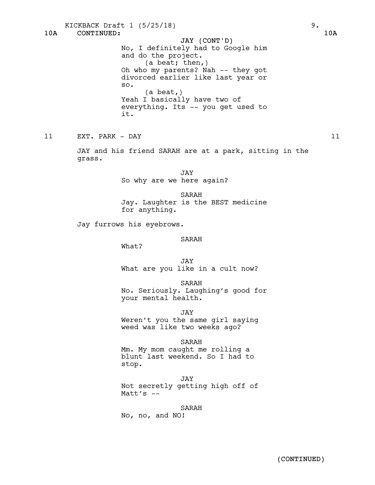10A CONTINUED: 10A JAY (CONT'D) KICKBACK Draft 1 (5/25/18) 9. No, I definitely had to Google him and do the project. (a beat; then,) Oh who my parents? Nah -- they got divorced earlier like last year or so. (a beat,) Yeah I basically have two of everything. Its -- you get used to it. 11 EXT. PARK - DAY 11 JAY and his friend SARAH are at a park, sitting in the grass. JAY So why are we here again? SARAH Jay. Laughter is the BEST medicine for anything. Jay furrows his eyebrows. SARAH What? JAY What are you like in a cult now? SARAH No. Seriously. Laughing's good for your mental health. JAY Weren't you the same girl saying weed was like two weeks ago? SARAH Mm. My mom caught me rolling a blunt last weekend. So I had to stop. JAY Not secretly getting high off of Matt's  $-$ SARAH No, no, and NO!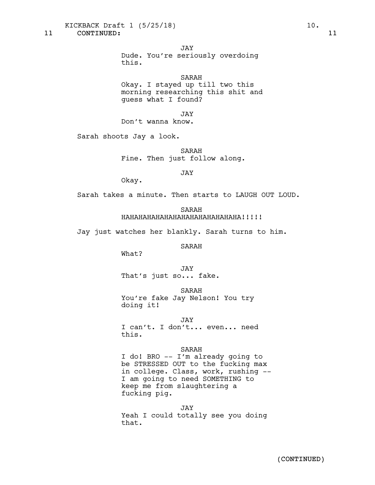KICKBACK Draft 1 (5/25/18) 10.

JAY

Dude. You're seriously overdoing this.

SARAH

Okay. I stayed up till two this morning researching this shit and guess what I found?

JAY

Don't wanna know.

Sarah shoots Jay a look.

SARAH Fine. Then just follow along.

JAY

Okay.

Sarah takes a minute. Then starts to LAUGH OUT LOUD.

SARAH HAHAHAHAHAHAHAHAHAHAHAHAHAHA!!!!!

Jay just watches her blankly. Sarah turns to him.

SARAH

What?

JAY That's just so... fake.

SARAH

You're fake Jay Nelson! You try doing it!

JAY I can't. I don't... even... need this.

#### SARAH

I do! BRO -- I'm already going to be STRESSED OUT to the fucking max in college. Class, work, rushing -- I am going to need SOMETHING to keep me from slaughtering a fucking pig.

JAY Yeah I could totally see you doing that.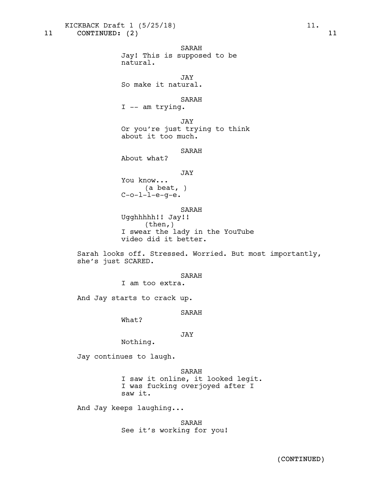KICKBACK Draft 1 (5/25/18) 11.

11 CONTINUED: (2) 11

SARAH Jay! This is supposed to be natural.

JAY So make it natural.

SARAH

I -- am trying.

JAY Or you're just trying to think about it too much.

SARAH

About what?

#### JAY

You know... (a beat, )  $C$ -o- $l$ - $l$ -e-q-e.

SARAH

Ugghhhhh!! Jay!! (then,) I swear the lady in the YouTube video did it better.

Sarah looks off. Stressed. Worried. But most importantly, she's just SCARED.

#### SARAH

I am too extra.

And Jay starts to crack up.

SARAH

What?

# JAY

Nothing.

Jay continues to laugh.

SARAH

I saw it online, it looked legit. I was fucking overjoyed after I saw it.

And Jay keeps laughing...

SARAH See it's working for you!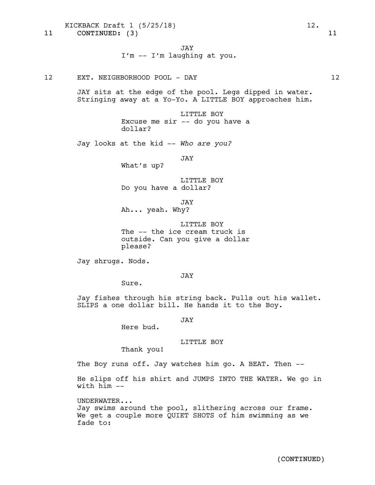KICKBACK Draft 1 (5/25/18) 12.

11 CONTINUED: (3) 11

12 EXT. NEIGHBORHOOD POOL - DAY 12

JAY sits at the edge of the pool. Legs dipped in water. Stringing away at a Yo-Yo. A LITTLE BOY approaches him.

> LITTLE BOY Excuse me sir -- do you have a dollar?

Jay looks at the kid -- *Who are you?*

JAY

What's up?

LITTLE BOY Do you have a dollar?

JAY Ah... yeah. Why?

LITTLE BOY The -- the ice cream truck is outside. Can you give a dollar please?

Jay shrugs. Nods.

JAY

Sure.

Jay fishes through his string back. Pulls out his wallet.<br>SLIPS a one dollar bill. He hands it to the Boy.

JAY

Here bud.

# LITTLE BOY

Thank you!

The Boy runs off. Jay watches him go. A BEAT. Then --

He slips off his shirt and JUMPS INTO THE WATER. We go in with  $h$ <sup>im  $-$ </sup>

UNDERWATER...

Jay swims around the pool, slithering across our frame. We get a couple more QUIET SHOTS of him swimming as we fade to: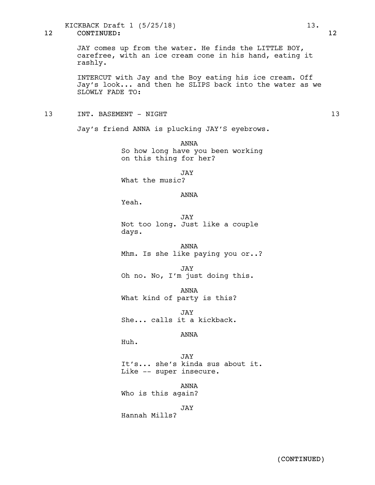12 CONTINUED: 12 KICKBACK Draft 1 (5/25/18) 13.

> JAY comes up from the water. He finds the LITTLE BOY, carefree, with an ice cream cone in his hand, eating it rashly.

INTERCUT with Jay and the Boy eating his ice cream. Off Jay's look... and then he SLIPS back into the water as we SLOWLY FADE TO:

13 INT. BASEMENT - NIGHT 13 13

Jay's friend ANNA is plucking JAY'S eyebrows.

ANNA So how long have you been working on this thing for her?

JAY

What the music?

# ANNA

Yeah.

JAY Not too long. Just like a couple days.

ANNA Mhm. Is she like paying you or..?

JAY Oh no. No, I'm just doing this.

ANNA What kind of party is this?

JAY She... calls it a kickback.

ANNA

Huh.

JAY It's... she's kinda sus about it. Like -- super insecure.

ANNA Who is this again?

JAY

Hannah Mills?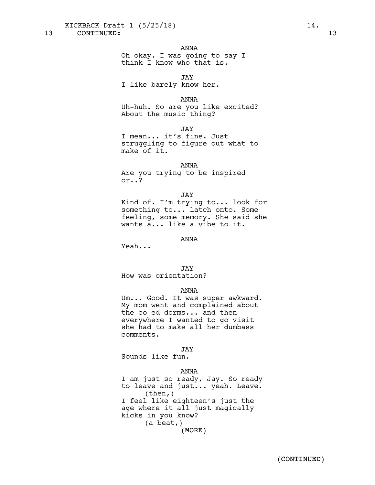KICKBACK Draft 1 (5/25/18) 14.

# ANNA

Oh okay. I was going to say I think I know who that is.

JAY

I like barely know her.

ANNA

Uh-huh. So are you like excited? About the music thing?

JAY

I mean... it's fine. Just struggling to figure out what to make of it.

#### ANNA

Are you trying to be inspired or..?

JAY

Kind of. I'm trying to... look for something to... latch onto. Some feeling, some memory. She said she wants a... like a vibe to it.

## ANNA

Yeah...

JAY

How was orientation?

#### ANNA

Um... Good. It was super awkward. My mom went and complained about the co-ed dorms... and then everywhere I wanted to go visit she had to make all her dumbass comments.

JAY

Sounds like fun.

#### ANNA

(MORE) I am just so ready, Jay. So ready to leave and just... yeah. Leave. (then,) I feel like eighteen's just the age where it all just magically kicks in you know? (a beat,)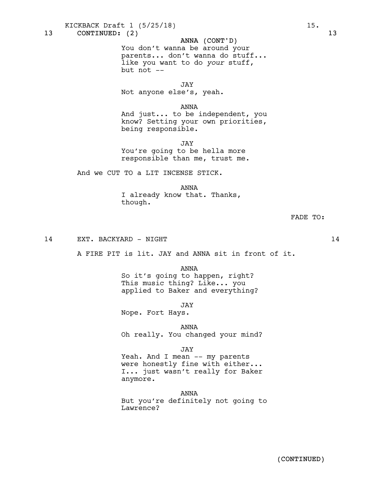KICKBACK Draft 1 (5/25/18) 15.

13 CONTINUED: (2) 13

# ANNA (CONT'D)

You don't wanna be around your parents... don't wanna do stuff... like you want to do *your* stuff, but not --

JAY Not anyone else's, yeah.

ANNA

And just... to be independent, you know? Setting your own priorities, being responsible.

JAY

You're going to be hella more responsible than me, trust me.

And we CUT TO a LIT INCENSE STICK.

ANNA I already know that. Thanks, though.

```
FADE TO:
```
14 EXT. BACKYARD – NIGHT 14

A FIRE PIT is lit. JAY and ANNA sit in front of it.

ANNA

So it's going to happen, right? This music thing? Like... you applied to Baker and everything?

JAY

Nope. Fort Hays.

ANNA

Oh really. You changed your mind?

JAY

Yeah. And I mean -- my parents were honestly fine with either...<br>I... just wasn't really for Baker anymore.

ANNA But you're definitely not going to Lawrence?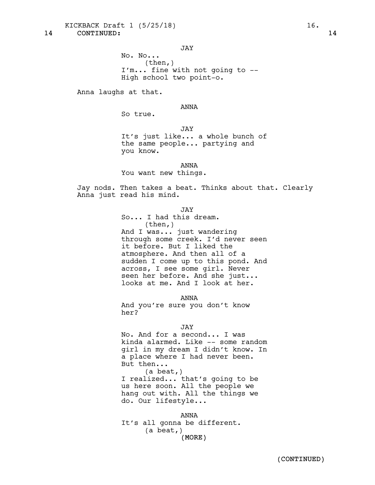KICKBACK Draft 1 (5/25/18) 16.

14 CONTINUED: 14

JAY No. No... (then,) I'm... fine with not going to -- High school two point-o.

Anna laughs at that.

ANNA

So true.

JAY

It's just like... a whole bunch of the same people... partying and you know.

ANNA

You want new things.

Jay nods. Then takes a beat. Thinks about that. Clearly Anna just read his mind.

JAY

So... I had this dream. (then,) And I was... just wandering through some creek. I'd never seen it before. But I liked the atmosphere. And then all of a sudden I come up to this pond. And across, I see some girl. Never seen her before. And she just...<br>looks at me. And I look at her.

ANNA

And you're sure you don't know her?

#### JAY

No. And for a second... I was kinda alarmed. Like -- some random girl in my dream I didn't know. In a place where I had never been.<br>But then...<br>(a beat,) I realized... that's going to be us here soon. All the people we

hang out with. All the things we do. Our lifestyle...

(MORE) ANNA It's all gonna be different. (a beat,)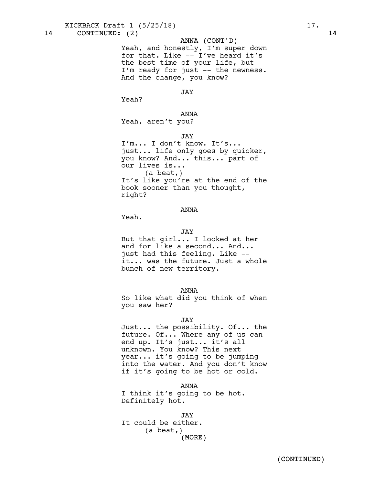KICKBACK Draft 1 (5/25/18) 17.

# ANNA (CONT'D)

Yeah, and honestly, I'm super down for that. Like -- I've heard it's the best time of your life, but I'm ready for just -- the newness. And the change, you know?

### JAY

Yeah?

#### ANNA

Yeah, aren't you?

# JAY

I'm... I don't know. It's... just... life only goes by quicker, you know? And... this... part of our lives is... (a beat,) It's like you're at the end of the book sooner than you thought, right?

# ANNA

Yeah.

#### JAY

But that girl... I looked at her and for like a second... And... just had this feeling. Like --<br>it... was the future. Just a whole bunch of new territory.

#### ANNA

So like what did you think of when you saw her?

#### JAY

Just... the possibility. Of... the future. Of... Where any of us can end up. It's just... it's all unknown. You know? This next year... it's going to be jumping into the water. And you don't know if it's going to be hot or cold.

ANNA I think it's going to be hot. Definitely hot.

(MORE) JAY It could be either. (a beat,)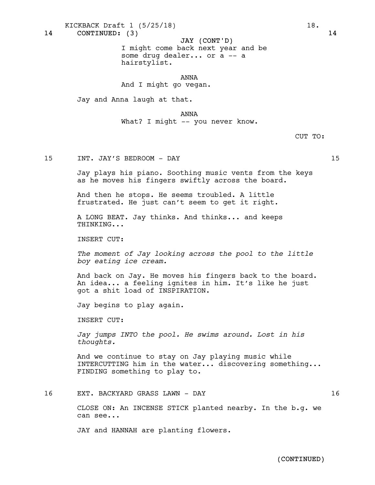KICKBACK Draft  $1 \t(5/25/18)$  18.

14 CONTINUED: (3) 14

JAY (CONT'D) I might come back next year and be some drug dealer... or a -- a hairstylist.

ANNA And I might go vegan.

Jay and Anna laugh at that.

ANNA

What? I might -- you never know.

CUT TO:

15 INT. JAY'S BEDROOM - DAY 15

Jay plays his piano. Soothing music vents from the keys as he moves his fingers swiftly across the board.

And then he stops. He seems troubled. A little frustrated. He just can't seem to get it right.

A LONG BEAT. Jay thinks. And thinks... and keeps THINKING...

INSERT CUT:

*The moment of Jay looking across the pool to the little boy eating ice cream.*

And back on Jay. He moves his fingers back to the board. An idea... <sup>a</sup> feeling ignites in him. It's like he just got a shit load of INSPIRATION.

Jay begins to play again.

INSERT CUT:

*Jay jumps INTO the pool. He swims around. Lost in his thoughts.*

And we continue to stay on Jay playing music while INTERCUTTING him in the water... discovering something... FINDING something to play to.

# 16 EXT. BACKYARD GRASS LAWN - DAY 16

CLOSE ON: An INCENSE STICK planted nearby. In the b.g. we can see...

JAY and HANNAH are planting flowers.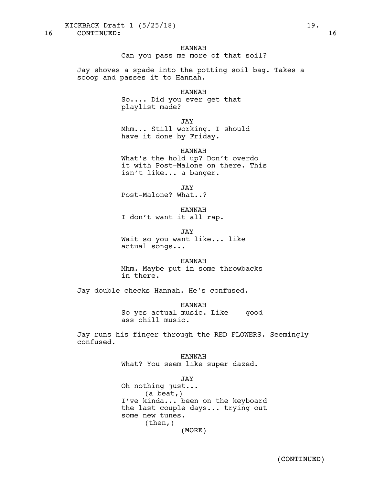KICKBACK Draft 1 (5/25/18) 19.

16 CONTINUED: 16

### HANNAH

Can you pass me more of that soil?

Jay shoves a spade into the potting soil bag. Takes a scoop and passes it to Hannah.

#### HANNAH

So.... Did you ever get that playlist made?

JAY

Mhm... Still working. I should have it done by Friday.

### HANNAH

What's the hold up? Don't overdo it with Post-Malone on there. This isn't like... a banger.

JAY

Post-Malone? What..?

HANNAH

I don't want it all rap.

JAY Wait so you want like... like actual songs...

HANNAH

Mhm. Maybe put in some throwbacks in there.

Jay double checks Hannah. He's confused.

HANNAH So yes actual music. Like -- good ass chill music.

Jay runs his finger through the RED FLOWERS. Seemingly confused.

> HANNAH What? You seem like super dazed.

(MORE) JAY Oh nothing just... (a beat,) I've kinda... been on the keyboard the last couple days... trying out some new tunes. (then,)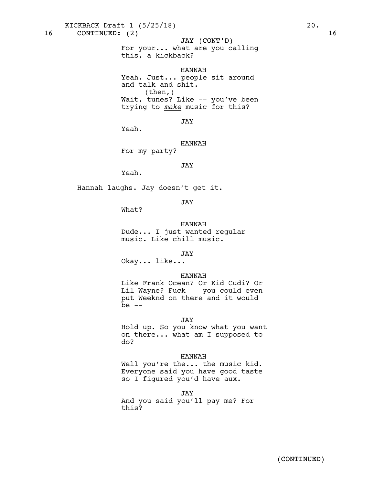KICKBACK Draft 1 (5/25/18) 20.

16 CONTINUED: (2) 16

# JAY (CONT'D)

For your... what are you calling this, a kickback?

HANNAH

Yeah. Just... people sit around and talk and shit.  $(then, )$ Wait, tunes? Like -- you've been trying to *make* music for this?

JAY

Yeah.

HANNAH For my party?

JAY

Yeah.

Hannah laughs. Jay doesn't get it.

JAY

What?

HANNAH Dude... I just wanted regular music. Like chill music.

JAY

Okay... like...

### HANNAH

Like Frank Ocean? Or Kid Cudi? Or Lil Wayne? Fuck -- you could even put Weeknd on there and it would be  $--$ 

JAY

Hold up. So you know what you want on there... what am I supposed to do?

#### HANNAH

Well you're the... the music kid. Everyone said you have good taste so I figured you'd have aux.

JAY

And you said you'll pay me? For this?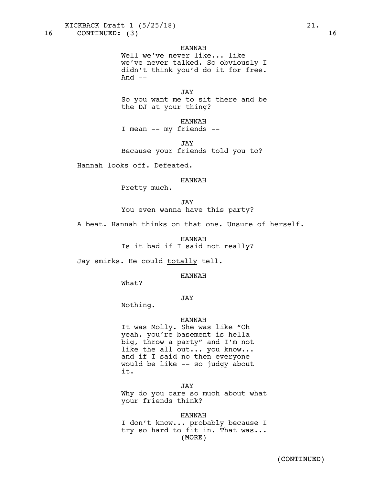KICKBACK Draft 1 (5/25/18) 21.

16 CONTINUED: (3) 16

# HANNAH

Well we've never like... like we've never talked. So obviously I didn't think you'd do it for free. And  $--$ 

JAY So you want me to sit there and be the DJ at your thing?

HANNAH I mean -- my friends --

JAY Because your friends told you to?

Hannah looks off. Defeated.

#### HANNAH

Pretty much.

JAY You even wanna have this party?

A beat. Hannah thinks on that one. Unsure of herself.

HANNAH Is it bad if I said not really?

Jay smirks. He could totally tell.

HANNAH

What?

# JAY

Nothing.

#### HANNAH

It was Molly. She was like "Oh yeah, you're basement is hella big, throw a party" and I'm not like the all out... you know...<br>and if I said no then everyone would be like -- so judgy about it.

JAY Why do you care so much about what your friends think?

(MORE) HANNAH I don't know... probably because I try so hard to fit in. That was...